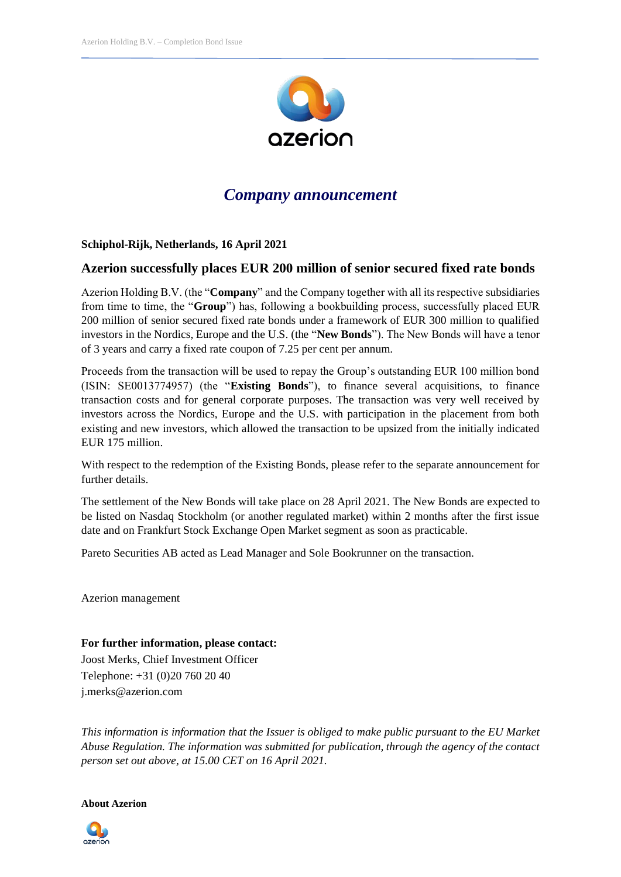

## *Company announcement*

## **Schiphol-Rijk, Netherlands, 16 April 2021**

## **Azerion successfully places EUR 200 million of senior secured fixed rate bonds**

Azerion Holding B.V. (the "**Company**" and the Company together with all its respective subsidiaries from time to time, the "**Group**") has, following a bookbuilding process, successfully placed EUR 200 million of senior secured fixed rate bonds under a framework of EUR 300 million to qualified investors in the Nordics, Europe and the U.S. (the "**New Bonds**"). The New Bonds will have a tenor of 3 years and carry a fixed rate coupon of 7.25 per cent per annum.

Proceeds from the transaction will be used to repay the Group's outstanding EUR 100 million bond (ISIN: SE0013774957) (the "**Existing Bonds**"), to finance several acquisitions, to finance transaction costs and for general corporate purposes. The transaction was very well received by investors across the Nordics, Europe and the U.S. with participation in the placement from both existing and new investors, which allowed the transaction to be upsized from the initially indicated EUR 175 million.

With respect to the redemption of the Existing Bonds, please refer to the separate announcement for further details.

The settlement of the New Bonds will take place on 28 April 2021. The New Bonds are expected to be listed on Nasdaq Stockholm (or another regulated market) within 2 months after the first issue date and on Frankfurt Stock Exchange Open Market segment as soon as practicable.

Pareto Securities AB acted as Lead Manager and Sole Bookrunner on the transaction.

Azerion management

**For further information, please contact:** Joost Merks, Chief Investment Officer Telephone: +31 (0)20 760 20 40 j.merks@azerion.com

*This information is information that the Issuer is obliged to make public pursuant to the EU Market Abuse Regulation. The information was submitted for publication, through the agency of the contact person set out above, at 15.00 CET on 16 April 2021.*

**About Azerion**